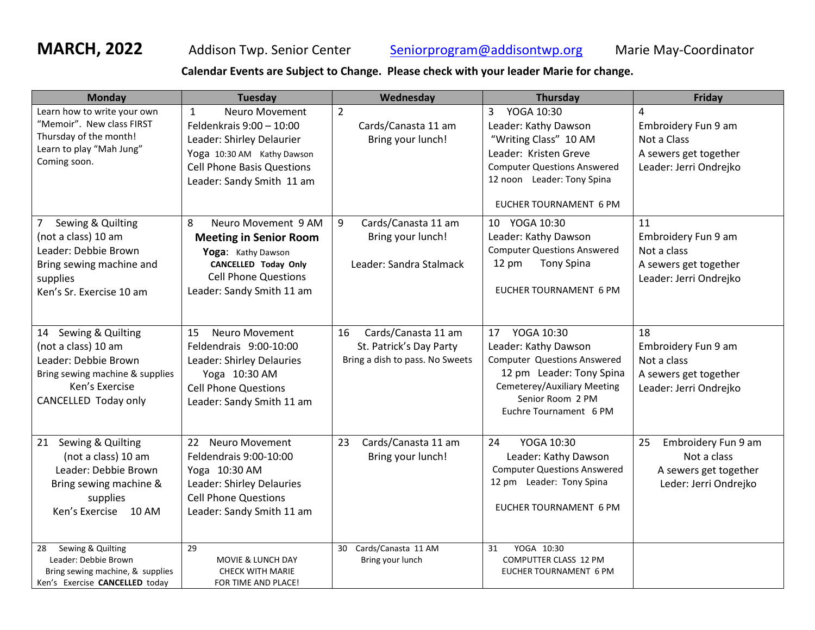**MARCH, 2022** Addison Twp. Senior Center [Seniorprogram@addisontwp.org](mailto:Seniorprogram@addisontwp.org) Marie May-Coordinator

**Calendar Events are Subject to Change. Please check with your leader Marie for change.**

| <b>Monday</b>                                                                                                                                       | <b>Tuesday</b>                                                                                                                                                                          | Wednesday                                                                               | <b>Thursday</b>                                                                                                                                                                                      | Friday                                                                                                  |
|-----------------------------------------------------------------------------------------------------------------------------------------------------|-----------------------------------------------------------------------------------------------------------------------------------------------------------------------------------------|-----------------------------------------------------------------------------------------|------------------------------------------------------------------------------------------------------------------------------------------------------------------------------------------------------|---------------------------------------------------------------------------------------------------------|
| Learn how to write your own<br>"Memoir". New class FIRST<br>Thursday of the month!<br>Learn to play "Mah Jung"<br>Coming soon.                      | Neuro Movement<br>$\mathbf{1}$<br>Feldenkrais 9:00 - 10:00<br>Leader: Shirley Delaurier<br>Yoga 10:30 AM Kathy Dawson<br><b>Cell Phone Basis Questions</b><br>Leader: Sandy Smith 11 am | $\overline{2}$<br>Cards/Canasta 11 am<br>Bring your lunch!                              | YOGA 10:30<br>3 <sup>7</sup><br>Leader: Kathy Dawson<br>"Writing Class" 10 AM<br>Leader: Kristen Greve<br><b>Computer Questions Answered</b><br>12 noon Leader: Tony Spina<br>EUCHER TOURNAMENT 6 PM | $\overline{a}$<br>Embroidery Fun 9 am<br>Not a Class<br>A sewers get together<br>Leader: Jerri Ondrejko |
| Sewing & Quilting<br>7<br>(not a class) 10 am<br>Leader: Debbie Brown<br>Bring sewing machine and<br>supplies<br>Ken's Sr. Exercise 10 am           | 8<br>Neuro Movement 9 AM<br><b>Meeting in Senior Room</b><br>Yoga: Kathy Dawson<br><b>CANCELLED Today Only</b><br><b>Cell Phone Questions</b><br>Leader: Sandy Smith 11 am              | 9<br>Cards/Canasta 11 am<br>Bring your lunch!<br>Leader: Sandra Stalmack                | 10 YOGA 10:30<br>Leader: Kathy Dawson<br><b>Computer Questions Answered</b><br><b>Tony Spina</b><br>$12 \text{ pm}$<br><b>EUCHER TOURNAMENT 6 PM</b>                                                 | 11<br>Embroidery Fun 9 am<br>Not a class<br>A sewers get together<br>Leader: Jerri Ondrejko             |
| Sewing & Quilting<br>14<br>(not a class) 10 am<br>Leader: Debbie Brown<br>Bring sewing machine & supplies<br>Ken's Exercise<br>CANCELLED Today only | <b>Neuro Movement</b><br>15<br>Feldendrais 9:00-10:00<br>Leader: Shirley Delauries<br>Yoga 10:30 AM<br><b>Cell Phone Questions</b><br>Leader: Sandy Smith 11 am                         | Cards/Canasta 11 am<br>16<br>St. Patrick's Day Party<br>Bring a dish to pass. No Sweets | YOGA 10:30<br>17<br>Leader: Kathy Dawson<br><b>Computer Questions Answered</b><br>12 pm Leader: Tony Spina<br>Cemeterey/Auxiliary Meeting<br>Senior Room 2 PM<br>Euchre Tournament 6 PM              | 18<br>Embroidery Fun 9 am<br>Not a class<br>A sewers get together<br>Leader: Jerri Ondrejko             |
| Sewing & Quilting<br>21<br>(not a class) 10 am<br>Leader: Debbie Brown<br>Bring sewing machine &<br>supplies<br>Ken's Exercise 10 AM                | 22<br><b>Neuro Movement</b><br>Feldendrais 9:00-10:00<br>Yoga 10:30 AM<br>Leader: Shirley Delauries<br><b>Cell Phone Questions</b><br>Leader: Sandy Smith 11 am                         | Cards/Canasta 11 am<br>23<br>Bring your lunch!                                          | 24<br>YOGA 10:30<br>Leader: Kathy Dawson<br><b>Computer Questions Answered</b><br>12 pm Leader: Tony Spina<br>EUCHER TOURNAMENT 6 PM                                                                 | 25<br>Embroidery Fun 9 am<br>Not a class<br>A sewers get together<br>Leder: Jerri Ondrejko              |
| Sewing & Quilting<br>28<br>Leader: Debbie Brown<br>Bring sewing machine, & supplies<br>Ken's Exercise CANCELLED today                               | 29<br>MOVIE & LUNCH DAY<br><b>CHECK WITH MARIE</b><br>FOR TIME AND PLACE!                                                                                                               | Cards/Canasta 11 AM<br>30<br>Bring your lunch                                           | YOGA 10:30<br>31<br>COMPUTTER CLASS 12 PM<br>EUCHER TOURNAMENT 6 PM                                                                                                                                  |                                                                                                         |